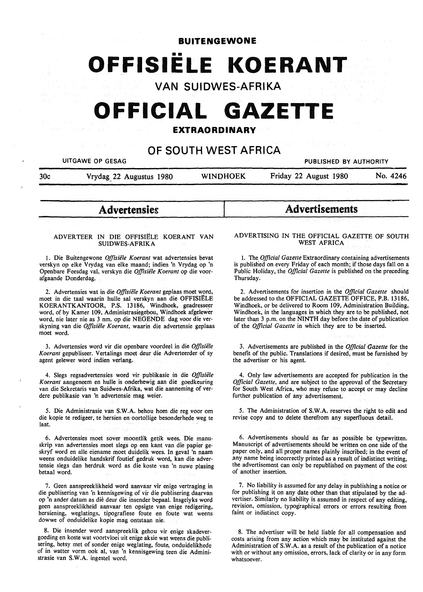**BUITENGEWONE** 

# •• **OFFISIELE KOERANT**

**VAN SUIDWES-AFRIKA** 

## **OFFICIAL GAZETTE**

#### **EXTRAORDINARY**

### **OF SOUTH WEST AFRICA**

UITGAWE OP GESAG PUBLISHED BY AUTHORITY

30c Vrydag\_ 22 Augustus 1980 WINOHOEK Friday 22 August 1980 No. 4246

## **Advertensieg**

#### ADVERTEER IN DIE OFFISIELE KOERANT VAN **SUIDWES-AFRIKA**

1. Die Buitengewone *Offisie'le Koerant* wat advertensies bevat verskyn op elke Vrydag van elke maand; indien 'n Vrydag op 'n Openbare Feesdag val, verskyn die *Offisiele Koerant* op die voorafgaande Donderdag.

2. Advertensies wat in die *Offisiele Koerant* geplaas moet word, moet in die taal waarin hulle sal verskyn aan die OFFISIELE KOERANTKANTOOR, P.S. 13186, Windhoek, geadresseer word, of by Kamer 109, Administrasiegebou, Windhoek afgelewer word, nie later nie as 3 nm. op die NEGENDE dag voor die verskyning van die *Offisiele Koerant,* waarin die advertensie geplaas moet word.

3. Advertensies word vir die openbare voordeel in die *Offisiele Koerant* gepubliseer. Vertalings moet deur die Adverteerder of sy agent gelewer word indien verlang.

4. Slegs regsadvertensies word vir publikasie in die *Offisiele Koerant* aangeneem en hulle is onderhewig aan die goedkeuring van die Sekretaris van Suidwes-Afrika, wat die aanneming of verdere publikasie van 'n advertensie mag weier.

5. Die Administrasie van **S.W.A.** behou horn die reg voor om die kopie te redigeer, te hersien en oortollige besonderhede weg te laat.

6. Advertensies moet sover moontlik getik wees. Die manuskrip van advertensies moet slegs op een kant van die papier geskryf word en alle eiename moet duidelik wees. In geval 'n naam weens onduidelike handskrif foutief gedruk word, kan die advertensie slegs dan herdruk word as die koste van 'n nuwe plasing betaal word.

7. Geen aanspreeklikheid word aanvaar vir enige vertraging in die publisering van 'n kennisgewing of vir die publisering daarvan op 'n ander datum as die deur die insender bepaal. Insgelyks word geen aanspreeklikheid aanvaar ten opsigte van enige redigering, hersiening, weglatings, tipografiese foute en foute wat weens dowwe of onduidelike kopie mag ontstaan nie.

8. Die insender word aanspreeklik gehou vir enige skadevergoeding en koste wat voortvloei uit enige aksie wat weens die pub1isering, hetsy met of sonder enige weglating, foute, onduidelikhede of in watter vorm ook al, van 'n kennisgewing teen die Administrasie van **S.W.A.** ingestel word.

## **Advertisements**

#### ADVERTISING IN THE OFFICIAL GAZETTE OF SOUTH **WEST AFRICA**

1. The *Official Gazette* Extraordinary containing advertisements is published on every Friday of each month; if those days fall on a Public Holiday, the *Official Gazette* is published on the preceding Thursday.

2. Advertisements for insertion in the *Official Gazette* should be addressed to the OFFICIAL GAZETTE OFFICE, P.B. 13186, Windhoek, or be delivered to Room 109, Administration Building, Windhoek, in the languages in which they are to be published, not later than 3 p.m. on the NINTH day before the date of publication of the *Official Gazette* in which they are to be inserted.

3. Advertisements are published in the *Official Gazette* for the benefit of the public. Translations if desired, must be furnished by the advertiser or his agent.

4. Only law advertisements are accepted for publication in the *Official Gazette,* and are subject to the approval of the Secretary for South West Africa, who may refuse to accept or may decline further publication of any advertisement.

5. The Administration of **S.W.A.** reserves the right to edit and revise copy and to delete therefrom any superfluous detail.

6. Advertisements should as far as possible be typewritten. Manuscript of advertisements should be. written on one side of the paper only, and all proper names plainly inscribed; in the event of .any name being incorrectly printed as a result of indistinct writing, the advertisement can only be republished on payment of the cost of another insertion.

7. No liability is assumed for any delay in publishing a notice or for publishing it on any date other than that stipulated by the advertiser. Similarly no liability is assumed in respect of any editing, revision, omission, typographical errors or errors resulting from faint or indistinct copy.

8. The advertiser will be held liable for all compensation and costs arising from any action which may be instituted against the Administration of **S.W.A.** as a result of the publication of a notice with or without any omission, errors, lack of clarity or in any form whatsoever.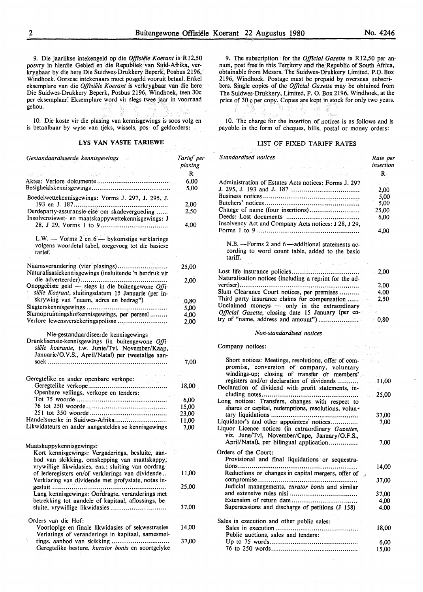9. Die jaarlikse intekengeld op die *Offisiele Koerant* is RI2,50 posvry in hierdie Gebied en die Republiek van Suid-Afrika, verkrygbaar by die here Die Suidwes-Drukkery Beperk, Posbus 2196, Windhoek. Oorsese intekenaars moet posgeld vooruit betaal. Enke! eksemplare van die *Offisiele Koerant* is verkrygbaar van die here Die Suidwes-Drukkery Beperk, Posbus 2196, Windhoek, teen 30c per eksemplaar: Eksemplare word vir slegs twee jaar in voorraad gehou.

10. Die koste vir die plasing van kennisgewings is soos volg en is betaalbaar by wyse van tjeks, wissels, pos- of geldorders:

#### **LYS VAN VASTE TARIEWE**

| Gestandaardiseerde kennisgewings                                                                                                                                                                  | Tarief per<br>plasing               |
|---------------------------------------------------------------------------------------------------------------------------------------------------------------------------------------------------|-------------------------------------|
|                                                                                                                                                                                                   | R                                   |
| 的腐败的 医心脏反射 数字                                                                                                                                                                                     |                                     |
|                                                                                                                                                                                                   | 6,00<br>5,00                        |
| Boedelwettekennisgewings: Vorms J. 297, J. 295, J.                                                                                                                                                |                                     |
|                                                                                                                                                                                                   | 2,00                                |
| Derdeparty-assuransie-eise om skadevergoeding<br>Insolvensiewet- en maatskappywettekennisgewings: J                                                                                               | 2,50                                |
|                                                                                                                                                                                                   | 4,00                                |
| L.W. — Vorms 2 en $6$ — bykomstige verklarings<br>volgens woordetal-tabel, toegevoeg tot die basiese<br>tarief.                                                                                   |                                     |
|                                                                                                                                                                                                   |                                     |
| Naamsverandering (vier plasings)<br>Naturalisasiekennisgewings (insluitende 'n herdruk vir                                                                                                        | 25,00                               |
|                                                                                                                                                                                                   | 2,00                                |
| Onopgeëiste geld — slegs in die buitengewone Offi-                                                                                                                                                |                                     |
| siële Koerant, sluitingsdatum 15 Januarie (per in-                                                                                                                                                |                                     |
| skrywing van "naam, adres en bedrag")                                                                                                                                                             | 0,80                                |
| Slagterskennisgewings                                                                                                                                                                             | 5,00                                |
| Slumopruimingshofkennisgewings, per perseel                                                                                                                                                       | 4,00                                |
| Verlore lewensversekeringspolisse                                                                                                                                                                 | 2,00                                |
| Nie-gestandaardiseerde kennisgewings<br>Dranklisensie-kennisgewings (in buitengewone Offi-<br>siële koerante, t.w. Junie/Tvl. November/Kaap,<br>Januarie/O.V.S., April/Natal) per tweetalige aan- | 7,00                                |
|                                                                                                                                                                                                   |                                     |
| Geregtelike en ander openbare verkope:                                                                                                                                                            |                                     |
|                                                                                                                                                                                                   | 18,00                               |
| Openbare veilings, verkope en tenders:                                                                                                                                                            |                                     |
|                                                                                                                                                                                                   | 6,00                                |
|                                                                                                                                                                                                   | 15,00                               |
|                                                                                                                                                                                                   | 23,00                               |
| Handelsmerke in Suidwes-Afrika                                                                                                                                                                    | 11,00                               |
| Likwidateurs en ander aangesteldes se kennisgewings                                                                                                                                               | 7,00                                |
|                                                                                                                                                                                                   |                                     |
|                                                                                                                                                                                                   |                                     |
| Maatskappykennisgewings:                                                                                                                                                                          |                                     |
| Kort kennisgewings: Vergaderings, besluite, aan-                                                                                                                                                  |                                     |
| bod van skikking, omskepping van maatskappy,                                                                                                                                                      |                                     |
| vrywillige likwidasies, ens.; sluiting van oordrag-<br>of lederegisters en/of verklarings van dividende                                                                                           |                                     |
|                                                                                                                                                                                                   | 11,00                               |
| Verklaring van dividende met profystate, notas in-                                                                                                                                                | 25,00                               |
| gesluit                                                                                                                                                                                           |                                     |
| Lang kennisgewings: Oordragte, veranderings met                                                                                                                                                   | $\mathbb{P}^1\subset\mathbb{P}^1$ . |
| betrekking tot aandele of kapitaal, aflossings, be-<br>sluite, vrywillige likwidasies                                                                                                             | 37,00                               |
|                                                                                                                                                                                                   |                                     |
| Orders van die Hof:                                                                                                                                                                               |                                     |
| Voorlopige en finale likwidasies of sekwestrasies                                                                                                                                                 | 14,00                               |
| Verlatings of veranderings in kapitaal, samesmel-                                                                                                                                                 |                                     |
| tings, aanbod van skikking<br>Geregtelike besture, kurator bonis en soortgelyke                                                                                                                   | 37,00                               |
|                                                                                                                                                                                                   |                                     |

9. The subscription for the *Official Gazette* is R12,50 per annum, post free in this Territory and the Republic of South Africa, obtainable from Messrs. The Suidwes-Drukkery Limited, P.O. Box 2196, Windhoek. Postage must be prepaid by overseas subscribers. Single copies of the *Official Gazette* may be obtained from The Suidwes-Drukkery, Limited, P. 0. Box 2196, Windhoek, at the price of 30 c per copy. Copies are kept in stock for only two years.

10. The charge for the insertion of notices is as follows and is payable in the form of cheques, bills, postal or money orders:

#### LIST OF FIXED TARIFF RATES

| Standardised notices                                                                                                                                | Rate per<br>insertion |
|-----------------------------------------------------------------------------------------------------------------------------------------------------|-----------------------|
| しょうわ 進行 さいこ<br>计主人员                                                                                                                                 | R.                    |
| Administration of Estates Acts notices: Forms J. 297                                                                                                |                       |
|                                                                                                                                                     | 2,00                  |
|                                                                                                                                                     | 5,00                  |
|                                                                                                                                                     | 5,00                  |
| Change of name (four insertions)                                                                                                                    | 25,00                 |
|                                                                                                                                                     | 6,00                  |
| Insolvency Act and Company Acts notices: J 28, J 29,                                                                                                |                       |
|                                                                                                                                                     | 4,00                  |
| N.B. - Forms 2 and 6 - additional statements ac-<br>cording to word count table, added to the basic<br>tariff.<br>and West Control of Con-          |                       |
| Naturalisation notices (including a reprint for the ad-                                                                                             | 2,00                  |
|                                                                                                                                                     | 2,00                  |
| Slum Clearance Court notices, per premises                                                                                                          | 4,00                  |
| Third party insurance claims for compensation<br>Unclaimed moneys - only in the extraordinary<br>Official Gazette, closing date 15 January (per en- | 2,50                  |
|                                                                                                                                                     | 0.80                  |

#### *Non-standardised notices*

#### Company notices:

| Short notices: Meetings, resolutions, offer of com-<br>promise, conversion of company, voluntary        |         |
|---------------------------------------------------------------------------------------------------------|---------|
| windings-up; closing of transfer or members'.                                                           |         |
| registers and/or declaration of dividends                                                               | 11,00   |
| Declaration of dividend with profit statements, in-                                                     | tade in |
|                                                                                                         | 25,00   |
| Long notices: Transfers, changes with respect to<br>shares or capital, redemptions, resolutions, volun- |         |
|                                                                                                         | 37,00   |
| Liquidator's and other appointees' notices                                                              | 7,00    |
| Liquor Licence notices (in extraordinary Gazettes,<br>viz. June/Tvl, November/Cape, January/O.F.S.,     |         |
| April/Natal), per bilingual application                                                                 | 7.00    |
| Orders of the Court:<br>Provisional and final liquidations or sequestra-                                |         |
|                                                                                                         | 14,00   |
| Reductions or changes in capital mergers, offer of                                                      |         |
| Judicial managements, curator bonis and similar                                                         | 37,00   |
|                                                                                                         | 37,00   |
|                                                                                                         | $-4,00$ |
| Supersessions and discharge of petitions (J 158)                                                        | 4,00    |
|                                                                                                         |         |
| Sales in execution and other public sales:                                                              |         |
|                                                                                                         | 18,00   |
| Public auctions, sales and tenders:                                                                     |         |
|                                                                                                         | 6.00    |
|                                                                                                         | 15,00   |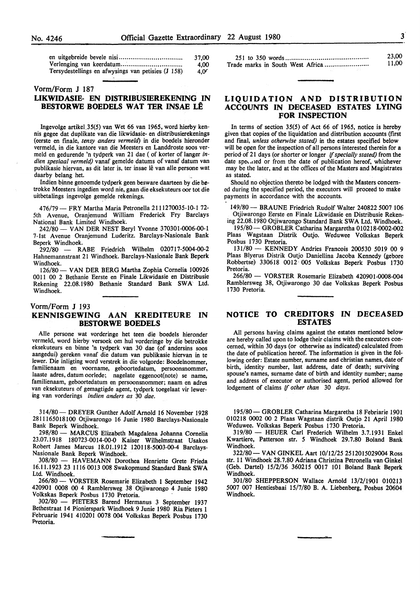|                                                    | 37.00            |
|----------------------------------------------------|------------------|
|                                                    | 4.00             |
| Tersydestellings en afwysings van petisies (J 158) | 4.0 <sup>2</sup> |

#### Vorm/Form J 187

#### **LIKWIDASIE- EN DISTRIBUSIBREKENING IN BESTORWE BOEDELS WAT TER INSAE LÊ**

lngevolge artikel.35(5) van Wet 66 van 1965, word hierby kennis gegee dat duplikate van die Iikwidasie- en distribusierekenings (eerste en finale, *tensy anders vermeld)* in die boedels hieronder vermeld, in die kantore van die Meesters en Landdroste soos vermeld en gedurende 'n tydperk van 21 dae ( of korter of langer *indien spesiaal vermeld)* vanaf gemelde datums of vanaf datum van publikasie hiervan, as dit later is, ter insae lê van alle persone wat daarby belang het.

Indien binne genoemde tydperk geen besware daarteen by die betrokke Meesters ingedien word nie, gaan die eksekuteurs oor tot die uitbetalings ingevolge gemelde rekenings.

476/79 - FRY Martha Maria Petronella 2111270035-10-1 72-5th Avenue, Oranjemund William Frederick Fry Barclays National Bank Limited Windhoek.

242/80- VAN DER NEST Beryl Yvonne 370301-0006-00-l 7-lst Avenue Oranjemund Luderitz. Barclays-Nasionale Bank Beperk Windhoek.

292/80 - RABE Friedrich Wilhelm 020717-5004-00-2 Hahnemannstraat 21 Windhoek. Barclays-Nasionale Bank Beperk Windhoek.

126/80- VAN DER BERG Martha Zophia Cornelia 100926 0011 00 2 Bethanie Eerste en Finale Likwidasie en Distribusie Rekening 22.08.1980 Bethanie Standard Bank SWA Ltd. Windhoek.

#### Vorm/Form J 193 **KENNISGEWING AAN KREDITEURE IN BESTORWE BOEDELS**

Aile persone wat vorderinge het teen die boedels hieronder vermeld, word hierby versoek om hul vorderinge by die betrokke eksekuteurs en binne 'n tydperk van 30 dae (of andersins soos aangedui) gereken vanaf die datum van publikasie hiervan in te !ewer. Die inligting word verstrek in die volgorde: Boedelnommer, familienaam en voorname, geboortedatum, persoonsnommer, laaste adres, datum oorlede; nagelate eggenoot(note} se name, familienaam, geboortedatum en persoonsnommer; naam en adres van eksekuteurs of gemagtigde agent, tydperk toegelaat vir lewering van vorderings *indien anders as* 30 *dae.* 

314/80- DREYER Gunther Adolf Arnold 16 November 1928 2811165018100 Otjiwarongo 16 Junie 1980 Barclays-Nasionale Bank Beperk Windhoek.

298/80 - MARCUS Elizabeth Magdalena Johanna Cornelia 23.07.1918 180723-0014-00-0 Kaiser Wilhelmstraat Usakos Robert James Marcus 18.01.1912 120118-5003-00-4 Barclays-Nasionale Bank Beperk Windhoek.<br>308/80 - HAVEMANN Doro

- HAVEMANN Dorothea Henriette Grete Frieda 16.11.1923 23 1116 0013 008 Swakopmund Standard Bank **SW A**  Ltd. Windhoek.

266/80- VORSTER Rosemarie Elizabeth 1 September 1942 420901 0008 00 4 Ramblersweg 38 Otjiwarongo 4 Junie 1980 Volkskas Beperk Posbus 1730 Pretoria.

302/80 - PIETERS Barend Hermanus 3 September 1937 Bethestraat 14 Pionierspark Windhoek 9 Junie 1980 Ria Pieters 1 Februarie 1941 410201 0078 004 Volkskas Beperk Posbus 1730 Pretoria.

| 23,00 |
|-------|
| 11.00 |

#### **LIQUIDATION AND DISTRIBUTION ACCOUNTS IN DECEASED ESTATES LYING FOR INSPECTION**

In terms of section 35(5) of Act 66 of 1965, notice is hereby given that copies of the liquidation and distribution accounts (first and final, *unless otherwise stated)* in the estates specified below will be open for the inspection of all persons interested therein for a period of 21 days (or shorter or longer if *specially stated)* from the date speculed or from the date of publication hereof, whichever may be the later, and at the offices of the Masters and Magistrates as stated.

Should no objection thereto be lodged with the Masters concerned during the specified period, the executors will proceed to make payments in accordance with the accounts.

149/80 - BRAUNE Friedrich Rudolf Walter 240822 5007 106 Otjiwarongo Eerste en Finale Likwidasie en Distribusie Reken-

ing 22.08.1980 Otjiwarongo Standard Bank SWA Ltd. Windhoek. 195/80- GROBLER Catharina Margaretha 010218-0002-002

Plaas Wagstaan Distrik Outjo. Weduwee Volkskas Beperk Posbus 1730 Pretoria. 131/80 - KENNEDY Andries Francois 200530 5019 00 9

Plaas Blyerus Distrik Outjo Daniellina Jacoba Kennedy (gebore Robbertse) 330618 0012 005 Volkskas Beperk Posbus 1730 Pretoria.

266/80 - VORSTER Rosemarie Elizabeth 420901-0008-004 Ramblersweg 38, Otjiwarongo 30 dae Volkskas Beperk Posbus 1730 Pretoria.

#### **NOTICE TO CREDITORS IN DECEASED ESTATES**

All persons having claims against the estates mentioned below are hereby called upon to lodge their claims with the executors concerned, within 30 days (or otherwise as indicated) calculated from the date of publication hereof. The information is given in the following order: Estate number, surname and christian names, date of birth, identity number, last address, date of death; surviving spouse's names, surname date of birth and identity number; name and address of executor or authorised agent, period allowed for lodgement of claims if *other than* 30 *days.* 

195/80- GROBLER Catharina Margaretha 18 Febriarie 1901 010218 0002 00 2 Plaas Wagstaan distrik Outjo 21 April 1980 Weduwee. Volkskas Beperk Posbus 1730 Pretoria.

319/80 - HEUER Carl Frederich Wilhelm 3.7.1931 Enke! Kwartiere, Patterson str. *5* Windhoek 29.7.80 Boland Bank Windhoek.

322/80- VAN GINKEL Aart 10/12/25 2512015029004 Ross str. 11 Windhoek 28.7.80 Adriana Christina Petronella van Ginkel (Geb. Dartel) 15/2/36 360215 0017 101 Boland Bank Beperk Windhoek.

301/80 SHEPPERSON Wallace Arnold 13/2/1901 010213 5007 007 Hentiesbaai 15/7/80 B. A. Liebenberg, Posbus 20604 Windhoek.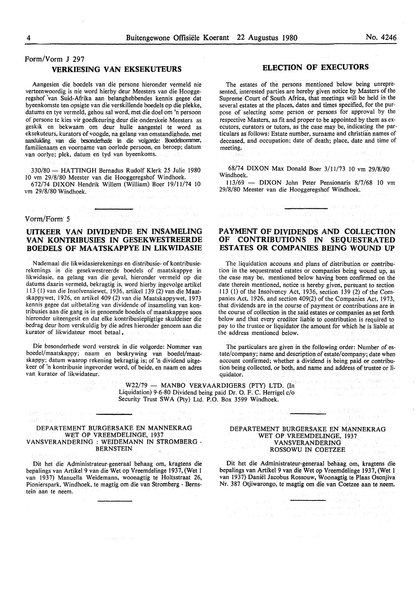#### Form/Vorm J 297 **VERKIESING VAN EKSEKUTEURS**

Aangesien die boedels van die persone hieronder vermeld nie verteenwoordig is nie word hierby deur Meesters van die Hooggeregshof van Suid-Afrika aan belanghebbendes kennis gegee dat byeenkomste ten opsigte van die verskillende boedels op die plekke, datums en tye vermeld, gehou sal word, met die doel om 'n persoon of persone te kies vir goedkeuring deur die onderskeie Meesters as geskik en bekwaam om deur hulle aangestel te word as eksekuteurs, kurators of voogde, na gelang van omstandighede, met aanduiding van die besonderhede in die volgorde: Boedelnommer, familienaam en voorname van oorlede persoon, en beroep; datum van oorlye; plek, datum en tyd van byeenkoms.

330/80 - HA TTINGH Bernadus Rudolf Klerk 25 Julie 1980 10 vm 29/8/80 Meester van die Hooggeregshof Windhoek.

672/74 DIXON Hendrik Willem (William) Boer 19/11/74 10 vm 29/8/80 Windhoek.

Vorm/Form' 5

vac. Na

第二十四章 新聞

#### **UITKEER VAN DIVIDENDE EN INSAMELING VAN KONTRIBUSIES IN GESEKWESTREERDE BOEDELS OF MAATSKAPPYE IN LIKWIDASIE**

 $\left\langle \left\langle \psi_{2,1}^{\lambda}\right\rangle \right\rangle _{0}^{2}\left\langle \left\langle \xi\right\rangle _{0}F\left\langle \xi\right\rangle _{0}+\gamma\right\rangle _{0}$ 

N ademaal die likwidasierekenings en distribusie- of kontribusierekenings in die gesekwestreerde boedels of maatskappye in likwidasie, na gelang van die geval, hieronder vermeld op die datums daarin vermeld, bekragtig is, word hierby ingevolge artikel I 13 (I) van die Insolvensiewet, 1936, artikel 139 (2) van die Maatskappywet, 1926, en artikel 409 (2) van die Maatskappywet, 1973 kennis gegee dat uitbetaling van dividende of insameling van kontribusies aan die gang is in genoemde boedels of maatskappye soos hieronder uiteengesit en dat elke kontribusiepligtige skuldeiser die bedrag deur horn verskuldig by die adres hieronder genoem aan die kurator of likwidateur moet betaal. side.

Die besonderhede word verstrek in die volgorde: Nommer van boedel/maatskappy; naam en beskrywing van boedel/maatskappy; datum waarop rekening bekragtig is; of 'n dividend uitgekeer of 'n kontribusie ingevorder word, of beide, en naam en adres van kurator of likwidateur.

#### **ELECTION OF EXECUTORS**

The estates of the persons mentioned below being unrepresented, interested parties are hereby given notice by Masters of the Supreme Court of South Africa, that meetings will be held in the several estates at the places, dates and times specified, for the purpose of selecting some person or persons for approval by the respective Masters, as fit and proper to be appointed by them as executors, curators or tutors, as the case may be, indicating the particulars as follows: Estate number, surname and christian names of deceased, and occupation; date of death; place, date and time of meeting.

最后在了军务。 医类的

68/74 DIXON Max Donald Boer 3/11/73 10 vm 29/8/80 Windhoek.

113/69 - **DIXON** John Peter Pensionaris 8/7/68 10 vm 29/8/80 Meester van die Hooggeregshof Windhoek.

<u>나 대해 하드라</u>

#### **PAYMENT OF DIVIDENDS AND COLLECTION OF CONTRIBUTIONS IN SEQUESTRATED ESTATES OR COMPANIES BEING WOUND UP**

Same should

The liquidation accouns and plans of distribution or contribution in the sequestrated estates or companies being wound up, as the case may be, mentioned below having been confirmed on the date therein mentioned, notice ts hereby given, pursuant to section 113 (I) of the Insolvency Act, 1936, section 139 (2) of the Companies Act, 1926, and section 409(2) of the Companies Act, 1973, that dividends are in the course of payment or contributions are in the course of collection in the said estates or companies as set forth below and that every creditor liable to contribution is required to pay to the trustee or liquidator the amount for which he is liable at the address mentioned below.

The particulars are given in the following order: Number of estate/company; name and description of estate/company; date when account confirmed; whether a dividend is being paid or contribution being collected, or both, and name and address of trustee or liquidator.

W22/79 - MANBO VERVAARDIGERS (PTY) LTD. (In Liquidation) 9-6-80 Dividend being paid Dr. 0. F. C. Herrigel c/o Security Trust SWA (Pty) Ltd. P.O. Box 3599 Windhoek.

#### DEPARTEMENT BURGERSAKE EN MANNEKRAG WET OP VREEMDELINGE, 1937 V ANSVERANDERING : WEIDEMANN IN STROMBERG - BERNSTEIN

100 goods on a seminated or most

Dit het die Administrateur-generaal behaag om, kragtens die bepalings van Artikel 9 van die Wet op Vreemdelinge 1937, (Wet l van 1937) Manuella Weidemann, woonagtig te Holtsstraat 26, Pionierspark, Windhoek, te magtig om die van Stromberg - Bernstein aan te neem.

#### DEPARTEMENT BURGERSAKE EN MANNEKRAG WET OP VREEMDELINGE, 1937 **VANSVERANDERING** ROSSOWU IN COETZEE

<u>للسفرين في في العامل العامل العامل ال</u>

<u>Leste</u> HABY (SK

s plate septimal

Dit het die Administrateur-generaal behaag om, kragtens die bepalings van Artikel 9 van die Wet op Vreemdelinge 1937, (Wet 1 van 1937) Daniel Jacobus Rossouw, Woonagtig te Plaas Osonjiva Nr. 387 Otjiwarongo, te magtig om die van Coetzee aan te neem.